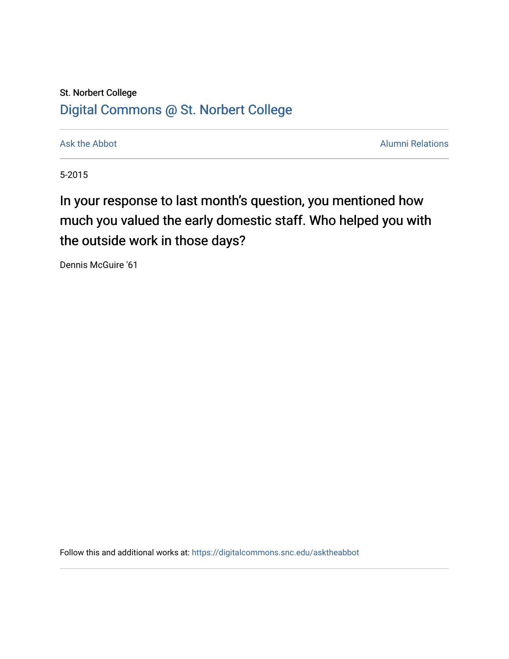## St. Norbert College [Digital Commons @ St. Norbert College](https://digitalcommons.snc.edu/)

[Ask the Abbot](https://digitalcommons.snc.edu/asktheabbot) **Alumni Relations** Ask the Abbot [Alumni Relations](https://digitalcommons.snc.edu/alumni) and Alumni Relations and Alumni Relations and Alumni Relations and Alumni Relations and Alumni Relations and Alumni Relations and Alumni Relations and Alumni

5-2015

## In your response to last month's question, you mentioned how much you valued the early domestic staff. Who helped you with the outside work in those days?

Dennis McGuire '61

Follow this and additional works at: [https://digitalcommons.snc.edu/asktheabbot](https://digitalcommons.snc.edu/asktheabbot?utm_source=digitalcommons.snc.edu%2Fasktheabbot%2F101&utm_medium=PDF&utm_campaign=PDFCoverPages)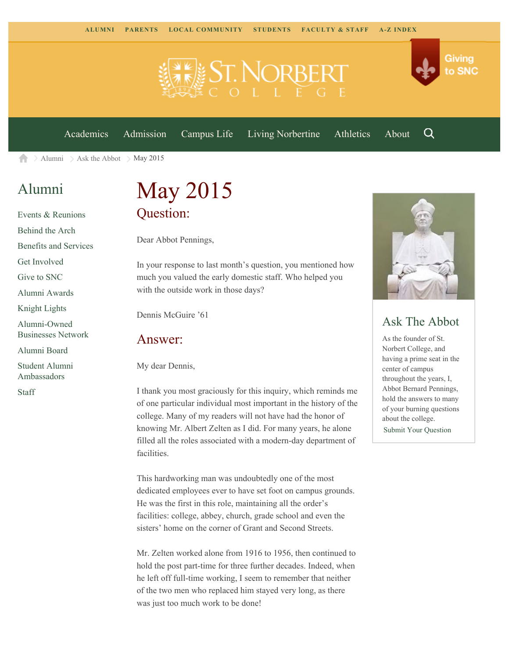

[Academics](https://www.snc.edu/academics) [Admission](https://www.snc.edu/admission) [Campus Life](https://www.snc.edu/campuslife) [Living Norbertine](https://www.snc.edu/livingnorbertine) [Athletics](https://www.snc.edu/athletics) [About](https://www.snc.edu/about)

Q

Giving

to SNC

[Alumni](https://www.snc.edu/alumni/)  $\geq$  [Ask the Abbot](https://www.snc.edu/alumni/abbot/)  $\geq$  May 2015 合

### [Alumni](https://www.snc.edu/alumni/index.html)

[Events & Reunions](https://www.snc.edu/alumni/event/index.html) [Behind the Arch](https://www.snc.edu/alumni/event/behindthearch/) [Benefits and Services](https://www.snc.edu/alumni/benefits.html) [Get Involved](https://www.snc.edu/alumni/getinvolved.html) [Give to SNC](http://giving.snc.edu/) [Alumni Awards](https://www.snc.edu/alumni/awards/index.html) [Knight Lights](https://www.snc.edu/alumni/knightlights/index.html) [Alumni-Owned](https://www.snc.edu/alumni/directory/index.html) [Businesses Network](https://www.snc.edu/alumni/directory/index.html) [Alumni Board](https://www.snc.edu/alumni/alumniboard.html) [Student Alumni](https://www.snc.edu/alumni/saa.html) [Ambassadors](https://www.snc.edu/alumni/saa.html)

[Staff](https://www.snc.edu/alumni/contactus.html)

# May 2015 Question:

Dear Abbot Pennings,

In your response to last month's question, you mentioned how much you valued the early domestic staff. Who helped you with the outside work in those days?

Dennis McGuire '61

#### Answer:

My dear Dennis,

I thank you most graciously for this inquiry, which reminds me of one particular individual most important in the history of the college. Many of my readers will not have had the honor of knowing Mr. Albert Zelten as I did. For many years, he alone filled all the roles associated with a modern-day department of facilities.

This hardworking man was undoubtedly one of the most dedicated employees ever to have set foot on campus grounds. He was the first in this role, maintaining all the order's facilities: college, abbey, church, grade school and even the sisters' home on the corner of Grant and Second Streets.

Mr. Zelten worked alone from 1916 to 1956, then continued to hold the post part-time for three further decades. Indeed, when he left off full-time working, I seem to remember that neither of the two men who replaced him stayed very long, as there was just too much work to be done!



### Ask The Abbot

As the founder of St. Norbert College, and having a prime seat in the center of campus throughout the years, I, Abbot Bernard Pennings, hold the answers to many of your burning questions about the college.

[Submit Your Question](https://www.snc.edu/alumni/abbot/index.html)